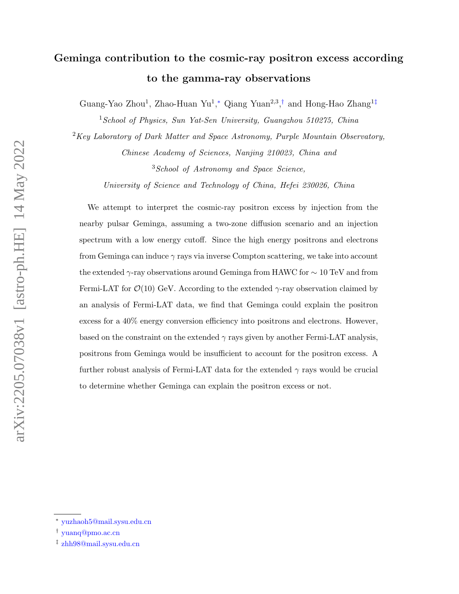# Geminga contribution to the cosmic-ray positron excess according to the gamma-ray observations

Guang-Yao Zhou<sup>1</sup>, Zhao-Huan Yu<sup>1</sup>,\* Qiang Yuan<sup>2,3</sup>,<sup>[†](#page-0-1)</sup> and Hong-Hao Zhang<sup>1[‡](#page-0-2)</sup>

<sup>1</sup>School of Physics, Sun Yat-Sen University, Guangzhou 510275, China

 $2$ Key Laboratory of Dark Matter and Space Astronomy, Purple Mountain Observatory, Chinese Academy of Sciences, Nanjing 210023, China and

<sup>3</sup>School of Astronomy and Space Science,

University of Science and Technology of China, Hefei 230026, China

We attempt to interpret the cosmic-ray positron excess by injection from the nearby pulsar Geminga, assuming a two-zone diffusion scenario and an injection spectrum with a low energy cutoff. Since the high energy positrons and electrons from Geminga can induce  $\gamma$  rays via inverse Compton scattering, we take into account the extended  $\gamma$ -ray observations around Geminga from HAWC for  $\sim 10 \text{ TeV}$  and from Fermi-LAT for  $\mathcal{O}(10)$  GeV. According to the extended  $\gamma$ -ray observation claimed by an analysis of Fermi-LAT data, we find that Geminga could explain the positron excess for a 40% energy conversion efficiency into positrons and electrons. However, based on the constraint on the extended  $\gamma$  rays given by another Fermi-LAT analysis, positrons from Geminga would be insufficient to account for the positron excess. A further robust analysis of Fermi-LAT data for the extended  $\gamma$  rays would be crucial to determine whether Geminga can explain the positron excess or not.

arXiv:2205.07038v1 [astro-ph.HE] 14 May 2022 arXiv:2205.07038v1 [astro-ph.HE] 14 May 2022

<span id="page-0-1"></span><span id="page-0-0"></span><sup>∗</sup> [yuzhaoh5@mail.sysu.edu.cn](mailto:yuzhaoh5@mail.sysu.edu.cn)

<span id="page-0-2"></span><sup>†</sup> [yuanq@pmo.ac.cn](mailto:yuanq@pmo.ac.cn)

<sup>‡</sup> [zhh98@mail.sysu.edu.cn](mailto:zhh98@mail.sysu.edu.cn)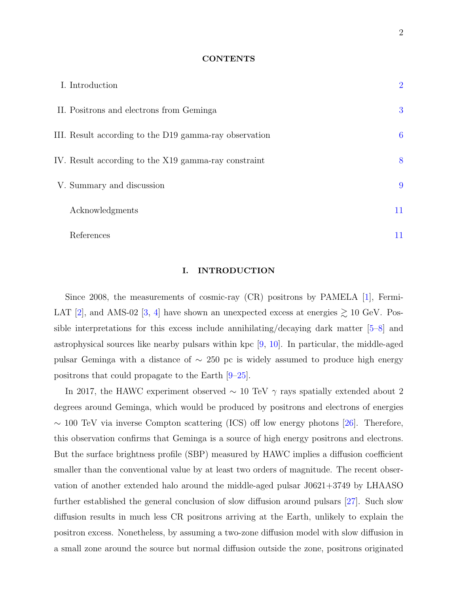#### **CONTENTS**

| I. Introduction                                        | $\overline{2}$ |
|--------------------------------------------------------|----------------|
| II. Positrons and electrons from Geminga               | 3              |
| III. Result according to the D19 gamma-ray observation | 6              |
| IV. Result according to the X19 gamma-ray constraint   | 8              |
| V. Summary and discussion                              | 9              |
| Acknowledgments                                        | 11             |
| References                                             | 11             |

## <span id="page-1-0"></span>I. INTRODUCTION

Since 2008, the measurements of cosmic-ray (CR) positrons by PAMELA [\[1\]](#page-10-2), Fermi-LAT [\[2\]](#page-10-3), and AMS-02 [\[3,](#page-10-4) [4\]](#page-10-5) have shown an unexpected excess at energies  $\gtrsim 10$  GeV. Possible interpretations for this excess include annihilating/decaying dark matter  $|5-8|$  and astrophysical sources like nearby pulsars within kpc [\[9,](#page-11-1) [10\]](#page-11-2). In particular, the middle-aged pulsar Geminga with a distance of  $\sim$  250 pc is widely assumed to produce high energy positrons that could propagate to the Earth [\[9–](#page-11-1)[25\]](#page-12-0).

In 2017, the HAWC experiment observed  $\sim 10$  TeV  $\gamma$  rays spatially extended about 2 degrees around Geminga, which would be produced by positrons and electrons of energies  $\sim$  100 TeV via inverse Compton scattering (ICS) off low energy photons [\[26\]](#page-12-1). Therefore, this observation confirms that Geminga is a source of high energy positrons and electrons. But the surface brightness profile (SBP) measured by HAWC implies a diffusion coefficient smaller than the conventional value by at least two orders of magnitude. The recent observation of another extended halo around the middle-aged pulsar J0621+3749 by LHAASO further established the general conclusion of slow diffusion around pulsars [\[27\]](#page-13-0). Such slow diffusion results in much less CR positrons arriving at the Earth, unlikely to explain the positron excess. Nonetheless, by assuming a two-zone diffusion model with slow diffusion in a small zone around the source but normal diffusion outside the zone, positrons originated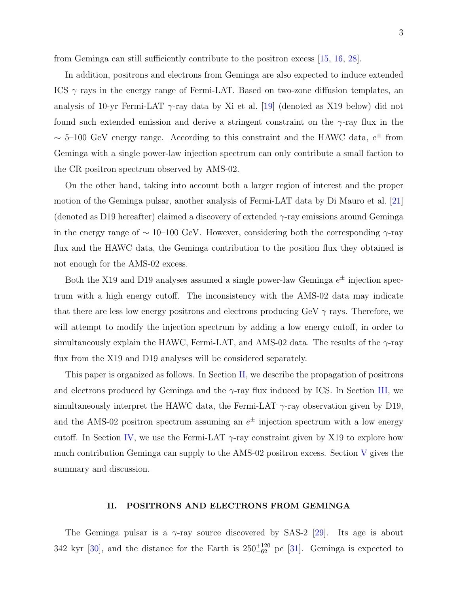from Geminga can still sufficiently contribute to the positron excess [\[15,](#page-11-3) [16,](#page-11-4) [28\]](#page-13-1).

In addition, positrons and electrons from Geminga are also expected to induce extended ICS  $\gamma$  rays in the energy range of Fermi-LAT. Based on two-zone diffusion templates, an analysis of 10-yr Fermi-LAT  $\gamma$ -ray data by Xi et al. [\[19\]](#page-12-2) (denoted as X19 below) did not found such extended emission and derive a stringent constraint on the  $\gamma$ -ray flux in the ~ 5–100 GeV energy range. According to this constraint and the HAWC data,  $e^{\pm}$  from Geminga with a single power-law injection spectrum can only contribute a small faction to the CR positron spectrum observed by AMS-02.

On the other hand, taking into account both a larger region of interest and the proper motion of the Geminga pulsar, another analysis of Fermi-LAT data by Di Mauro et al. [\[21\]](#page-12-3) (denoted as D19 hereafter) claimed a discovery of extended  $\gamma$ -ray emissions around Geminga in the energy range of  $\sim 10$ –100 GeV. However, considering both the corresponding  $\gamma$ -ray flux and the HAWC data, the Geminga contribution to the position flux they obtained is not enough for the AMS-02 excess.

Both the X19 and D19 analyses assumed a single power-law Geminga  $e^{\pm}$  injection spectrum with a high energy cutoff. The inconsistency with the AMS-02 data may indicate that there are less low energy positrons and electrons producing GeV  $\gamma$  rays. Therefore, we will attempt to modify the injection spectrum by adding a low energy cutoff, in order to simultaneously explain the HAWC, Fermi-LAT, and AMS-02 data. The results of the  $\gamma$ -ray flux from the X19 and D19 analyses will be considered separately.

This paper is organized as follows. In Section [II,](#page-2-0) we describe the propagation of positrons and electrons produced by Geminga and the  $\gamma$ -ray flux induced by ICS. In Section [III,](#page-5-0) we simultaneously interpret the HAWC data, the Fermi-LAT  $\gamma$ -ray observation given by D19, and the AMS-02 positron spectrum assuming an  $e^{\pm}$  injection spectrum with a low energy cutoff. In Section [IV,](#page-7-0) we use the Fermi-LAT  $\gamma$ -ray constraint given by X19 to explore how much contribution Geminga can supply to the  $AMS-02$  positron excess. Section [V](#page-8-0) gives the summary and discussion.

### <span id="page-2-0"></span>II. POSITRONS AND ELECTRONS FROM GEMINGA

The Geminga pulsar is a  $\gamma$ -ray source discovered by SAS-2 [\[29\]](#page-13-2). Its age is about 342 kyr [\[30\]](#page-13-3), and the distance for the Earth is  $250^{+120}_{-62}$  pc [\[31\]](#page-13-4). Geminga is expected to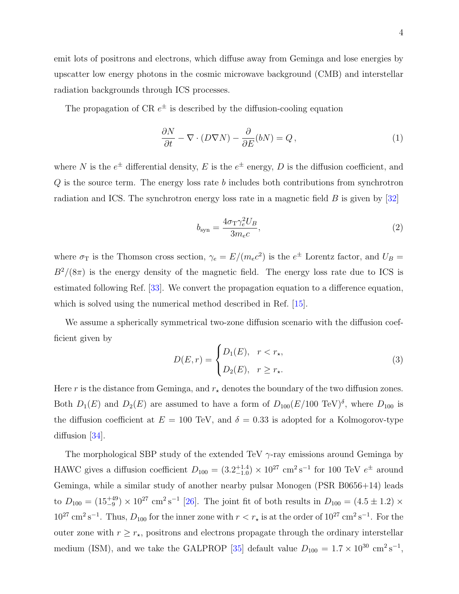emit lots of positrons and electrons, which diffuse away from Geminga and lose energies by upscatter low energy photons in the cosmic microwave background (CMB) and interstellar radiation backgrounds through ICS processes.

The propagation of CR  $e^{\pm}$  is described by the diffusion-cooling equation

$$
\frac{\partial N}{\partial t} - \nabla \cdot (D \nabla N) - \frac{\partial}{\partial E} (bN) = Q, \qquad (1)
$$

where N is the  $e^{\pm}$  differential density, E is the  $e^{\pm}$  energy, D is the diffusion coefficient, and  $Q$  is the source term. The energy loss rate  $b$  includes both contributions from synchrotron radiation and ICS. The synchrotron energy loss rate in a magnetic field  $B$  is given by [\[32\]](#page-13-5)

$$
b_{\rm syn} = \frac{4\sigma_{\rm T}\gamma_e^2 U_B}{3m_e c},\tag{2}
$$

where  $\sigma_{\rm T}$  is the Thomson cross section,  $\gamma_e = E/(m_e c^2)$  is the  $e^{\pm}$  Lorentz factor, and  $U_B =$  $B^2/(8\pi)$  is the energy density of the magnetic field. The energy loss rate due to ICS is estimated following Ref. [\[33\]](#page-13-6). We convert the propagation equation to a difference equation, which is solved using the numerical method described in Ref. [\[15\]](#page-11-3).

We assume a spherically symmetrical two-zone diffusion scenario with the diffusion coefficient given by

$$
D(E,r) = \begin{cases} D_1(E), & r < r_\star, \\ D_2(E), & r \ge r_\star. \end{cases} \tag{3}
$$

Here r is the distance from Geminga, and  $r_{\star}$  denotes the boundary of the two diffusion zones. Both  $D_1(E)$  and  $D_2(E)$  are assumed to have a form of  $D_{100}(E/100 \text{ TeV})^{\delta}$ , where  $D_{100}$  is the diffusion coefficient at  $E = 100$  TeV, and  $\delta = 0.33$  is adopted for a Kolmogorov-type diffusion [\[34\]](#page-13-7).

The morphological SBP study of the extended TeV  $\gamma$ -ray emissions around Geminga by HAWC gives a diffusion coefficient  $D_{100} = (3.2^{+1.4}_{-1.0}) \times 10^{27}$  cm<sup>2</sup>s<sup>-1</sup> for 100 TeV  $e^{\pm}$  around Geminga, while a similar study of another nearby pulsar Monogen (PSR B0656+14) leads to  $D_{100} = (15^{+49}_{-9}) \times 10^{27}$  cm<sup>2</sup>s<sup>-1</sup> [\[26\]](#page-12-1). The joint fit of both results in  $D_{100} = (4.5 \pm 1.2) \times$  $10^{27}$  cm<sup>2</sup> s<sup>-1</sup>. Thus,  $D_{100}$  for the inner zone with  $r < r_{\star}$  is at the order of  $10^{27}$  cm<sup>2</sup> s<sup>-1</sup>. For the outer zone with  $r \geq r_{\star}$ , positrons and electrons propagate through the ordinary interstellar medium (ISM), and we take the GALPROP [\[35\]](#page-13-8) default value  $D_{100} = 1.7 \times 10^{30} \text{ cm}^2 \text{s}^{-1}$ ,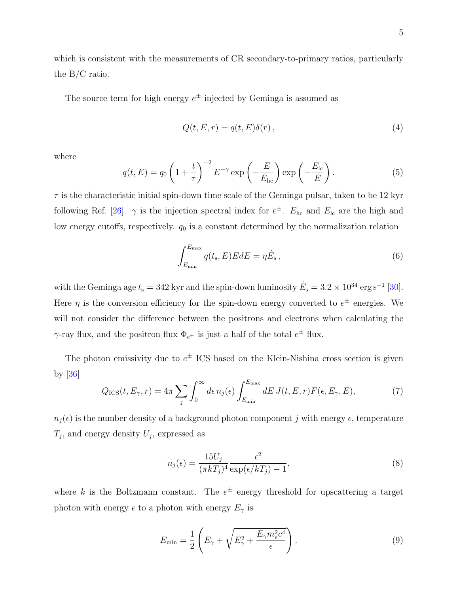which is consistent with the measurements of CR secondary-to-primary ratios, particularly the B/C ratio.

The source term for high energy  $e^{\pm}$  injected by Geminga is assumed as

$$
Q(t, E, r) = q(t, E)\delta(r), \qquad (4)
$$

where

$$
q(t, E) = q_0 \left( 1 + \frac{t}{\tau} \right)^{-2} E^{-\gamma} \exp\left( -\frac{E}{E_{\text{hc}}} \right) \exp\left( -\frac{E_{\text{lc}}}{E} \right). \tag{5}
$$

 $\tau$  is the characteristic initial spin-down time scale of the Geminga pulsar, taken to be 12 kyr following Ref. [\[26\]](#page-12-1).  $\gamma$  is the injection spectral index for  $e^{\pm}$ .  $E_{\text{hc}}$  and  $E_{\text{lc}}$  are the high and low energy cutoffs, respectively.  $q_0$  is a constant determined by the normalization relation

$$
\int_{E_{\min}}^{E_{\max}} q(t_s, E) E dE = \eta \dot{E}_s, \qquad (6)
$$

with the Geminga age  $t_s = 342$  kyr and the spin-down luminosity  $\dot{E}_s = 3.2 \times 10^{34} \text{ erg s}^{-1}$  [\[30\]](#page-13-3). Here  $\eta$  is the conversion efficiency for the spin-down energy converted to  $e^{\pm}$  energies. We will not consider the difference between the positrons and electrons when calculating the  $\gamma$ -ray flux, and the positron flux  $\Phi_{e^+}$  is just a half of the total  $e^{\pm}$  flux.

The photon emissivity due to  $e^{\pm}$  ICS based on the Klein-Nishina cross section is given by [\[36\]](#page-13-9)

$$
Q_{\rm ICS}(t, E_{\gamma}, r) = 4\pi \sum_{j} \int_0^{\infty} d\epsilon \, n_j(\epsilon) \int_{E_{\rm min}}^{E_{\rm max}} dE \, J(t, E, r) F(\epsilon, E_{\gamma}, E), \tag{7}
$$

 $n_i(\epsilon)$  is the number density of a background photon component j with energy  $\epsilon$ , temperature  $T_j$ , and energy density  $U_j$ , expressed as

$$
n_j(\epsilon) = \frac{15U_j}{(\pi kT_j)^4} \frac{\epsilon^2}{\exp(\epsilon/kT_j) - 1},\tag{8}
$$

where k is the Boltzmann constant. The  $e^{\pm}$  energy threshold for upscattering a target photon with energy  $\epsilon$  to a photon with energy  $E_\gamma$  is

$$
E_{\min} = \frac{1}{2} \left( E_{\gamma} + \sqrt{E_{\gamma}^2 + \frac{E_{\gamma} m_e^2 c^4}{\epsilon}} \right). \tag{9}
$$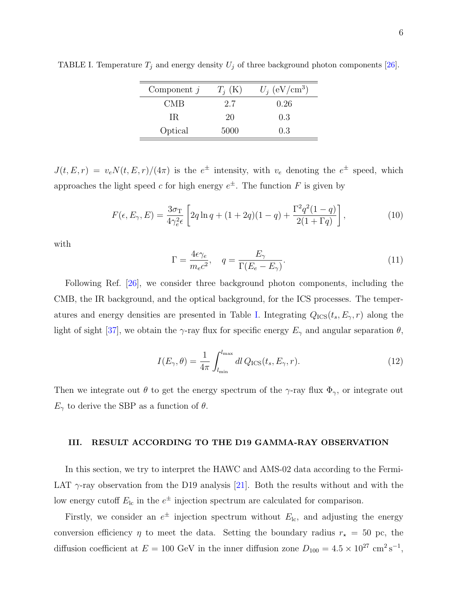| Component $j$ | $T_i$ (K) | $U_i$ (eV/cm <sup>3</sup> ) |
|---------------|-----------|-----------------------------|
| CMB           | 2.7       | 0.26                        |
| IR.           | 20        | 0.3                         |
| Optical       | 5000      | 0.3                         |

<span id="page-5-1"></span>TABLE I. Temperature  $T_j$  and energy density  $U_j$  of three background photon components [\[26\]](#page-12-1).

 $J(t, E, r) = v_e N(t, E, r)/(4\pi)$  is the  $e^{\pm}$  intensity, with  $v_e$  denoting the  $e^{\pm}$  speed, which approaches the light speed c for high energy  $e^{\pm}$ . The function F is given by

$$
F(\epsilon, E_{\gamma}, E) = \frac{3\sigma_{\rm T}}{4\gamma_e^2 \epsilon} \left[ 2q \ln q + (1 + 2q)(1 - q) + \frac{\Gamma^2 q^2 (1 - q)}{2(1 + \Gamma q)} \right],\tag{10}
$$

with

$$
\Gamma = \frac{4\epsilon\gamma_e}{m_e c^2}, \quad q = \frac{E_\gamma}{\Gamma(E_e - E_\gamma)}.\tag{11}
$$

Following Ref. [\[26\]](#page-12-1), we consider three background photon components, including the CMB, the IR background, and the optical background, for the ICS processes. The temper-atures and energy densities are presented in Table [I.](#page-5-1) Integrating  $Q_{\text{ICS}}(t_s, E_{\gamma}, r)$  along the light of sight [\[37\]](#page-13-10), we obtain the  $\gamma$ -ray flux for specific energy  $E_{\gamma}$  and angular separation  $\theta$ ,

$$
I(E_{\gamma}, \theta) = \frac{1}{4\pi} \int_{l_{\min}}^{l_{\max}} dl Q_{\text{ICS}}(t_s, E_{\gamma}, r). \tag{12}
$$

Then we integrate out  $\theta$  to get the energy spectrum of the  $\gamma$ -ray flux  $\Phi_{\gamma}$ , or integrate out  $E_{\gamma}$  to derive the SBP as a function of  $\theta$ .

## <span id="page-5-0"></span>III. RESULT ACCORDING TO THE D19 GAMMA-RAY OBSERVATION

In this section, we try to interpret the HAWC and AMS-02 data according to the Fermi-LAT  $\gamma$ -ray observation from the D19 analysis [\[21\]](#page-12-3). Both the results without and with the low energy cutoff  $E_{\text{lc}}$  in the  $e^{\pm}$  injection spectrum are calculated for comparison.

Firstly, we consider an  $e^{\pm}$  injection spectrum without  $E_{\text{lc}}$ , and adjusting the energy conversion efficiency  $\eta$  to meet the data. Setting the boundary radius  $r_{\star} = 50$  pc, the diffusion coefficient at  $E = 100$  GeV in the inner diffusion zone  $D_{100} = 4.5 \times 10^{27}$  cm<sup>2</sup> s<sup>-1</sup>,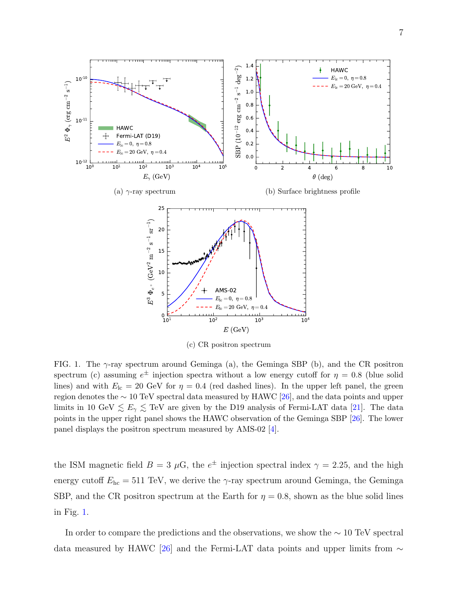<span id="page-6-1"></span>

<span id="page-6-3"></span><span id="page-6-2"></span>(c) CR positron spectrum

<span id="page-6-0"></span>FIG. 1. The  $\gamma$ -ray spectrum around Geminga (a), the Geminga SBP (b), and the CR positron spectrum (c) assuming  $e^{\pm}$  injection spectra without a low energy cutoff for  $\eta = 0.8$  (blue solid lines) and with  $E_{\text{lc}} = 20 \text{ GeV}$  for  $\eta = 0.4$  (red dashed lines). In the upper left panel, the green region denotes the ∼ 10 TeV spectral data measured by HAWC [\[26\]](#page-12-1), and the data points and upper limits in 10 GeV  $\leq E_{\gamma} \leq$  TeV are given by the D19 analysis of Fermi-LAT data [\[21\]](#page-12-3). The data points in the upper right panel shows the HAWC observation of the Geminga SBP [\[26\]](#page-12-1). The lower panel displays the positron spectrum measured by AMS-02 [\[4\]](#page-10-5).

the ISM magnetic field  $B = 3 \mu$ G, the  $e^{\pm}$  injection spectral index  $\gamma = 2.25$ , and the high energy cutoff  $E_{\text{hc}} = 511 \text{ TeV}$ , we derive the  $\gamma$ -ray spectrum around Geminga, the Geminga SBP, and the CR positron spectrum at the Earth for  $\eta = 0.8$ , shown as the blue solid lines in Fig. [1.](#page-6-0)

In order to compare the predictions and the observations, we show the ∼ 10 TeV spectral data measured by HAWC [\[26\]](#page-12-1) and the Fermi-LAT data points and upper limits from  $\sim$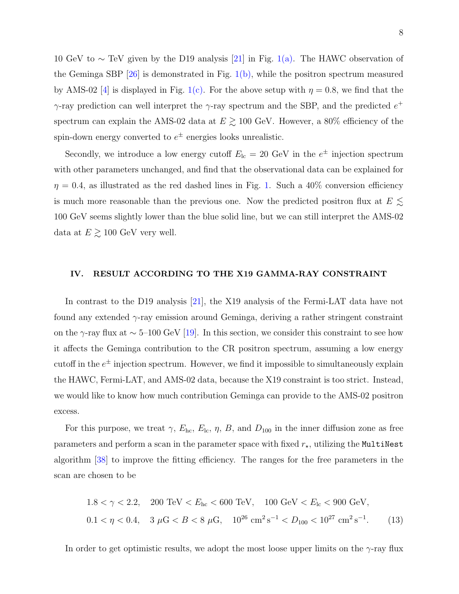10 GeV to ∼ TeV given by the D19 analysis [\[21\]](#page-12-3) in Fig. [1\(a\).](#page-6-1) The HAWC observation of the Geminga SBP  $[26]$  is demonstrated in Fig. [1\(b\),](#page-6-2) while the positron spectrum measured by AMS-02 [\[4\]](#page-10-5) is displayed in Fig. [1\(c\).](#page-6-3) For the above setup with  $\eta = 0.8$ , we find that the γ-ray prediction can well interpret the γ-ray spectrum and the SBP, and the predicted  $e^+$ spectrum can explain the AMS-02 data at  $E \gtrsim 100$  GeV. However, a 80% efficiency of the spin-down energy converted to  $e^{\pm}$  energies looks unrealistic.

Secondly, we introduce a low energy cutoff  $E_{\text{lc}} = 20 \text{ GeV}$  in the  $e^{\pm}$  injection spectrum with other parameters unchanged, and find that the observational data can be explained for  $\eta = 0.4$ , as illustrated as the red dashed lines in Fig. [1.](#page-6-0) Such a 40% conversion efficiency is much more reasonable than the previous one. Now the predicted positron flux at  $E$   $\lesssim$ 100 GeV seems slightly lower than the blue solid line, but we can still interpret the AMS-02 data at  $E \gtrsim 100$  GeV very well.

#### <span id="page-7-0"></span>IV. RESULT ACCORDING TO THE X19 GAMMA-RAY CONSTRAINT

In contrast to the D19 analysis [\[21\]](#page-12-3), the X19 analysis of the Fermi-LAT data have not found any extended  $\gamma$ -ray emission around Geminga, deriving a rather stringent constraint on the γ-ray flux at  $\sim$  5–100 GeV [\[19\]](#page-12-2). In this section, we consider this constraint to see how it affects the Geminga contribution to the CR positron spectrum, assuming a low energy cutoff in the  $e^{\pm}$  injection spectrum. However, we find it impossible to simultaneously explain the HAWC, Fermi-LAT, and AMS-02 data, because the X19 constraint is too strict. Instead, we would like to know how much contribution Geminga can provide to the AMS-02 positron excess.

For this purpose, we treat  $\gamma$ ,  $E_{\text{hc}}$ ,  $E_{\text{lc}}$ ,  $\eta$ ,  $B$ , and  $D_{100}$  in the inner diffusion zone as free parameters and perform a scan in the parameter space with fixed  $r_{\star}$ , utilizing the MultiNest algorithm [\[38\]](#page-13-11) to improve the fitting efficiency. The ranges for the free parameters in the scan are chosen to be

$$
1.8 < \gamma < 2.2, \quad 200 \, \text{TeV} < E_{\text{hc}} < 600 \, \text{TeV}, \quad 100 \, \text{GeV} < E_{\text{lc}} < 900 \, \text{GeV},
$$
\n
$$
0.1 < \eta < 0.4, \quad 3 \, \mu\text{G} < B < 8 \, \mu\text{G}, \quad 10^{26} \, \text{cm}^2 \, \text{s}^{-1} < D_{100} < 10^{27} \, \text{cm}^2 \, \text{s}^{-1}. \tag{13}
$$

In order to get optimistic results, we adopt the most loose upper limits on the  $\gamma$ -ray flux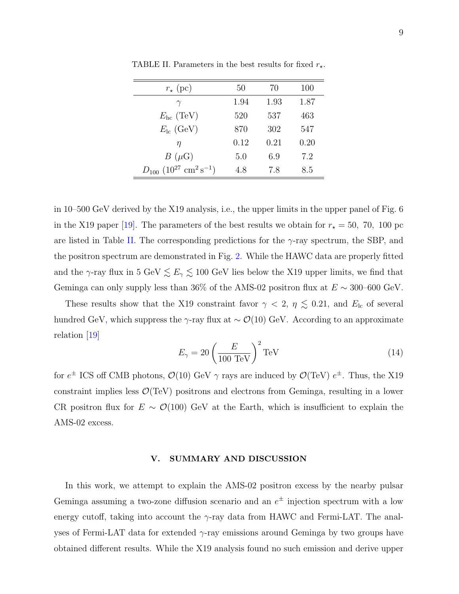| $r_{\star}$ (pc)                                  | 50   | 70   | 100  |
|---------------------------------------------------|------|------|------|
| $\gamma$                                          | 1.94 | 1.93 | 1.87 |
| $E_{\rm hc}$ (TeV)                                | 520  | 537  | 463  |
| $E_{\rm lc}$ (GeV)                                | 870  | 302  | 547  |
| η                                                 | 0.12 | 0.21 | 0.20 |
| $B(\mu G)$                                        | 5.0  | 6.9  | 7.2  |
| $D_{100}$ $(10^{27} \text{ cm}^2 \text{ s}^{-1})$ | 4.8  | 7.8  | 8.5  |

<span id="page-8-1"></span>TABLE II. Parameters in the best results for fixed  $r_{\star}$ .

in 10–500 GeV derived by the X19 analysis, i.e., the upper limits in the upper panel of Fig. 6 in the X19 paper [\[19\]](#page-12-2). The parameters of the best results we obtain for  $r_{\star} = 50$ , 70, 100 pc are listed in Table [II.](#page-8-1) The corresponding predictions for the  $\gamma$ -ray spectrum, the SBP, and the positron spectrum are demonstrated in Fig. [2.](#page-9-0) While the HAWC data are properly fitted and the  $\gamma$ -ray flux in 5 GeV  $\lesssim E_{\gamma} \lesssim 100$  GeV lies below the X19 upper limits, we find that Geminga can only supply less than 36% of the AMS-02 positron flux at  $E \sim 300$ –600 GeV.

These results show that the X19 constraint favor  $\gamma$  < 2,  $\eta \lesssim 0.21$ , and  $E_{\text{lc}}$  of several hundred GeV, which suppress the γ-ray flux at  $\sim \mathcal{O}(10)$  GeV. According to an approximate relation [\[19\]](#page-12-2)

$$
E_{\gamma} = 20 \left(\frac{E}{100 \text{ TeV}}\right)^2 \text{TeV}
$$
 (14)

for  $e^{\pm}$  ICS off CMB photons,  $\mathcal{O}(10)$  GeV  $\gamma$  rays are induced by  $\mathcal{O}(TeV)$   $e^{\pm}$ . Thus, the X19 constraint implies less  $\mathcal{O}(TeV)$  positrons and electrons from Geminga, resulting in a lower CR positron flux for  $E \sim \mathcal{O}(100)$  GeV at the Earth, which is insufficient to explain the AMS-02 excess.

## <span id="page-8-0"></span>V. SUMMARY AND DISCUSSION

In this work, we attempt to explain the AMS-02 positron excess by the nearby pulsar Geminga assuming a two-zone diffusion scenario and an  $e^{\pm}$  injection spectrum with a low energy cutoff, taking into account the  $\gamma$ -ray data from HAWC and Fermi-LAT. The analyses of Fermi-LAT data for extended  $\gamma$ -ray emissions around Geminga by two groups have obtained different results. While the X19 analysis found no such emission and derive upper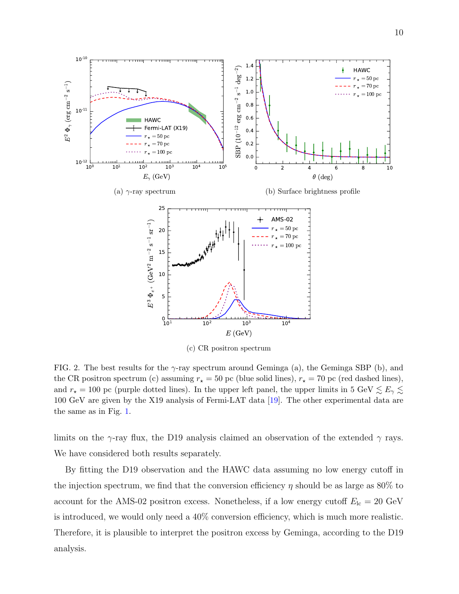

<span id="page-9-0"></span>FIG. 2. The best results for the  $\gamma$ -ray spectrum around Geminga (a), the Geminga SBP (b), and the CR positron spectrum (c) assuming  $r_{\star} = 50$  pc (blue solid lines),  $r_{\star} = 70$  pc (red dashed lines), and  $r_{\star} = 100$  pc (purple dotted lines). In the upper left panel, the upper limits in 5 GeV  $\lesssim E_{\gamma} \lesssim$ 100 GeV are given by the X19 analysis of Fermi-LAT data [\[19\]](#page-12-2). The other experimental data are the same as in Fig. [1.](#page-6-0)

limits on the  $\gamma$ -ray flux, the D19 analysis claimed an observation of the extended  $\gamma$  rays. We have considered both results separately.

By fitting the D19 observation and the HAWC data assuming no low energy cutoff in the injection spectrum, we find that the conversion efficiency  $\eta$  should be as large as 80% to account for the AMS-02 positron excess. Nonetheless, if a low energy cutoff  $E_{\text{lc}} = 20 \text{ GeV}$ is introduced, we would only need a 40% conversion efficiency, which is much more realistic. Therefore, it is plausible to interpret the positron excess by Geminga, according to the D19 analysis.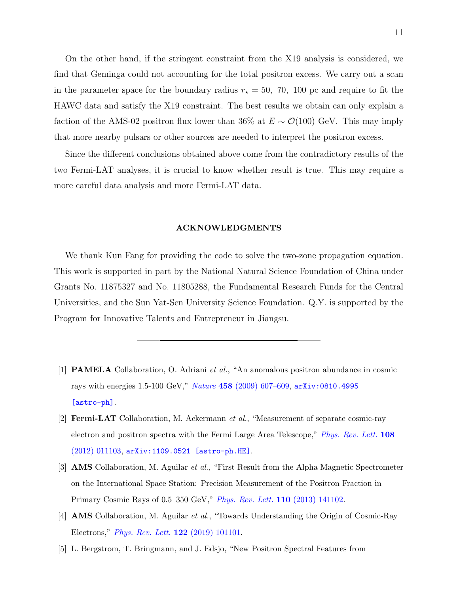On the other hand, if the stringent constraint from the X19 analysis is considered, we find that Geminga could not accounting for the total positron excess. We carry out a scan in the parameter space for the boundary radius  $r_{\star} = 50$ , 70, 100 pc and require to fit the HAWC data and satisfy the X19 constraint. The best results we obtain can only explain a faction of the AMS-02 positron flux lower than 36% at  $E \sim \mathcal{O}(100)$  GeV. This may imply that more nearby pulsars or other sources are needed to interpret the positron excess.

Since the different conclusions obtained above come from the contradictory results of the two Fermi-LAT analyses, it is crucial to know whether result is true. This may require a more careful data analysis and more Fermi-LAT data.

#### <span id="page-10-0"></span>ACKNOWLEDGMENTS

We thank Kun Fang for providing the code to solve the two-zone propagation equation. This work is supported in part by the National Natural Science Foundation of China under Grants No. 11875327 and No. 11805288, the Fundamental Research Funds for the Central Universities, and the Sun Yat-Sen University Science Foundation. Q.Y. is supported by the Program for Innovative Talents and Entrepreneur in Jiangsu.

- <span id="page-10-2"></span><span id="page-10-1"></span>[1] PAMELA Collaboration, O. Adriani et al., "An anomalous positron abundance in cosmic rays with energies 1.5-100 GeV," Nature 458 [\(2009\) 607–609,](http://dx.doi.org/10.1038/nature07942) [arXiv:0810.4995](http://arxiv.org/abs/0810.4995) [\[astro-ph\]](http://arxiv.org/abs/0810.4995).
- <span id="page-10-3"></span>[2] Fermi-LAT Collaboration, M. Ackermann et al., "Measurement of separate cosmic-ray electron and positron spectra with the Fermi Large Area Telescope," [Phys. Rev. Lett.](http://dx.doi.org/10.1103/PhysRevLett.108.011103) 108 [\(2012\) 011103,](http://dx.doi.org/10.1103/PhysRevLett.108.011103) [arXiv:1109.0521 \[astro-ph.HE\]](http://arxiv.org/abs/1109.0521).
- <span id="page-10-4"></span>[3] AMS Collaboration, M. Aguilar et al., "First Result from the Alpha Magnetic Spectrometer on the International Space Station: Precision Measurement of the Positron Fraction in Primary Cosmic Rays of 0.5–350 GeV," [Phys. Rev. Lett.](http://dx.doi.org/10.1103/PhysRevLett.110.141102) 110 (2013) 141102.
- <span id="page-10-5"></span>[4] AMS Collaboration, M. Aguilar et al., "Towards Understanding the Origin of Cosmic-Ray Electrons," [Phys. Rev. Lett.](http://dx.doi.org/10.1103/PhysRevLett.122.101101) 122 (2019) 101101.
- <span id="page-10-6"></span>[5] L. Bergstrom, T. Bringmann, and J. Edsjo, "New Positron Spectral Features from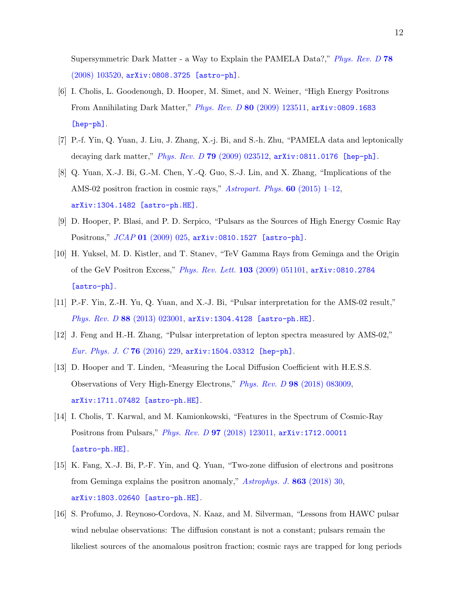Supersymmetric Dark Matter - a Way to Explain the PAMELA Data?," *[Phys. Rev. D](http://dx.doi.org/10.1103/PhysRevD.78.103520)* 78 [\(2008\) 103520,](http://dx.doi.org/10.1103/PhysRevD.78.103520) [arXiv:0808.3725 \[astro-ph\]](http://arxiv.org/abs/0808.3725).

- [6] I. Cholis, L. Goodenough, D. Hooper, M. Simet, and N. Weiner, "High Energy Positrons From Annihilating Dark Matter," Phys. Rev. D 80 [\(2009\) 123511,](http://dx.doi.org/10.1103/PhysRevD.80.123511) [arXiv:0809.1683](http://arxiv.org/abs/0809.1683) [\[hep-ph\]](http://arxiv.org/abs/0809.1683).
- [7] P.-f. Yin, Q. Yuan, J. Liu, J. Zhang, X.-j. Bi, and S.-h. Zhu, "PAMELA data and leptonically decaying dark matter," Phys. Rev. D 79 [\(2009\) 023512,](http://dx.doi.org/10.1103/PhysRevD.79.023512) [arXiv:0811.0176 \[hep-ph\]](http://arxiv.org/abs/0811.0176).
- <span id="page-11-0"></span>[8] Q. Yuan, X.-J. Bi, G.-M. Chen, Y.-Q. Guo, S.-J. Lin, and X. Zhang, "Implications of the AMS-02 positron fraction in cosmic rays," [Astropart. Phys.](http://dx.doi.org/10.1016/j.astropartphys.2014.05.005) 60 (2015) 1–12, [arXiv:1304.1482 \[astro-ph.HE\]](http://arxiv.org/abs/1304.1482).
- <span id="page-11-1"></span>[9] D. Hooper, P. Blasi, and P. D. Serpico, "Pulsars as the Sources of High Energy Cosmic Ray Positrons," JCAP 01 [\(2009\) 025,](http://dx.doi.org/10.1088/1475-7516/2009/01/025) [arXiv:0810.1527 \[astro-ph\]](http://arxiv.org/abs/0810.1527).
- <span id="page-11-2"></span>[10] H. Yuksel, M. D. Kistler, and T. Stanev, "TeV Gamma Rays from Geminga and the Origin of the GeV Positron Excess," [Phys. Rev. Lett.](http://dx.doi.org/10.1103/PhysRevLett.103.051101) 103 (2009) 051101, [arXiv:0810.2784](http://arxiv.org/abs/0810.2784) [\[astro-ph\]](http://arxiv.org/abs/0810.2784).
- [11] P.-F. Yin, Z.-H. Yu, Q. Yuan, and X.-J. Bi, "Pulsar interpretation for the AMS-02 result," Phys. Rev. D 88 [\(2013\) 023001,](http://dx.doi.org/10.1103/PhysRevD.88.023001) [arXiv:1304.4128 \[astro-ph.HE\]](http://arxiv.org/abs/1304.4128).
- [12] J. Feng and H.-H. Zhang, "Pulsar interpretation of lepton spectra measured by AMS-02," [Eur. Phys. J. C](http://dx.doi.org/10.1140/epjc/s10052-016-4092-y) 76 (2016) 229, [arXiv:1504.03312 \[hep-ph\]](http://arxiv.org/abs/1504.03312).
- [13] D. Hooper and T. Linden, "Measuring the Local Diffusion Coefficient with H.E.S.S. Observations of Very High-Energy Electrons," Phys. Rev. D 98 [\(2018\) 083009,](http://dx.doi.org/10.1103/PhysRevD.98.083009) [arXiv:1711.07482 \[astro-ph.HE\]](http://arxiv.org/abs/1711.07482).
- [14] I. Cholis, T. Karwal, and M. Kamionkowski, "Features in the Spectrum of Cosmic-Ray Positrons from Pulsars," Phys. Rev. D 97 [\(2018\) 123011,](http://dx.doi.org/10.1103/PhysRevD.97.123011) [arXiv:1712.00011](http://arxiv.org/abs/1712.00011) [\[astro-ph.HE\]](http://arxiv.org/abs/1712.00011).
- <span id="page-11-3"></span>[15] K. Fang, X.-J. Bi, P.-F. Yin, and Q. Yuan, "Two-zone diffusion of electrons and positrons from Geminga explains the positron anomaly," [Astrophys. J.](http://dx.doi.org/10.3847/1538-4357/aad092) 863 (2018) 30, [arXiv:1803.02640 \[astro-ph.HE\]](http://arxiv.org/abs/1803.02640).
- <span id="page-11-4"></span>[16] S. Profumo, J. Reynoso-Cordova, N. Kaaz, and M. Silverman, "Lessons from HAWC pulsar wind nebulae observations: The diffusion constant is not a constant; pulsars remain the likeliest sources of the anomalous positron fraction; cosmic rays are trapped for long periods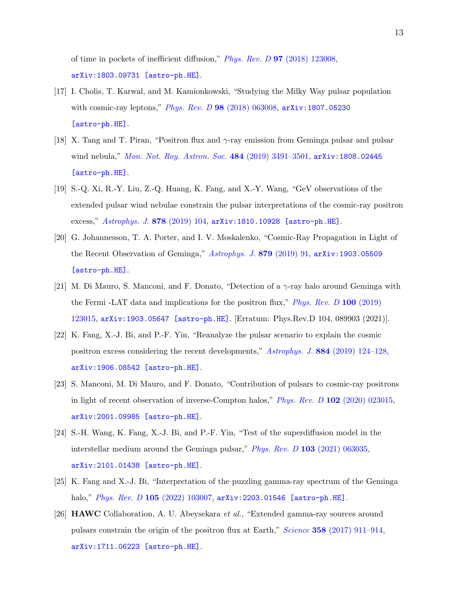of time in pockets of inefficient diffusion," Phys. Rev. D 97 [\(2018\) 123008,](http://dx.doi.org/10.1103/PhysRevD.97.123008) [arXiv:1803.09731 \[astro-ph.HE\]](http://arxiv.org/abs/1803.09731).

- [17] I. Cholis, T. Karwal, and M. Kamionkowski, "Studying the Milky Way pulsar population with cosmic-ray leptons," Phys. Rev. D 98 [\(2018\) 063008,](http://dx.doi.org/10.1103/PhysRevD.98.063008) [arXiv:1807.05230](http://arxiv.org/abs/1807.05230) [\[astro-ph.HE\]](http://arxiv.org/abs/1807.05230).
- [18] X. Tang and T. Piran, "Positron flux and  $\gamma$ -ray emission from Geminga pulsar and pulsar wind nebula," [Mon. Not. Roy. Astron. Soc.](http://dx.doi.org/10.1093/mnras/stz268) 484 (2019) 3491-3501, [arXiv:1808.02445](http://arxiv.org/abs/1808.02445) [\[astro-ph.HE\]](http://arxiv.org/abs/1808.02445).
- <span id="page-12-2"></span>[19] S.-Q. Xi, R.-Y. Liu, Z.-Q. Huang, K. Fang, and X.-Y. Wang, "GeV observations of the extended pulsar wind nebulae constrain the pulsar interpretations of the cosmic-ray positron excess," [Astrophys. J.](http://dx.doi.org/10.3847/1538-4357/ab20c9) 878 (2019) 104, [arXiv:1810.10928 \[astro-ph.HE\]](http://arxiv.org/abs/1810.10928).
- [20] G. Johannesson, T. A. Porter, and I. V. Moskalenko, "Cosmic-Ray Propagation in Light of the Recent Observation of Geminga," [Astrophys. J.](http://dx.doi.org/10.3847/1538-4357/ab258e) 879 (2019) 91, [arXiv:1903.05509](http://arxiv.org/abs/1903.05509) [\[astro-ph.HE\]](http://arxiv.org/abs/1903.05509).
- <span id="page-12-3"></span>[21] M. Di Mauro, S. Manconi, and F. Donato, "Detection of a γ-ray halo around Geminga with the Fermi -LAT data and implications for the positron flux," *[Phys. Rev. D](http://dx.doi.org/10.1103/PhysRevD.104.089903)* 100 (2019) [123015,](http://dx.doi.org/10.1103/PhysRevD.104.089903) [arXiv:1903.05647 \[astro-ph.HE\]](http://arxiv.org/abs/1903.05647). [Erratum: Phys.Rev.D 104, 089903 (2021)].
- [22] K. Fang, X.-J. Bi, and P.-F. Yin, "Reanalyze the pulsar scenario to explain the cosmic positron excess considering the recent developments," Astrophys. J. 884 [\(2019\) 124–128,](http://dx.doi.org/10.3847/1538-4357/ab3fac) [arXiv:1906.08542 \[astro-ph.HE\]](http://arxiv.org/abs/1906.08542).
- [23] S. Manconi, M. Di Mauro, and F. Donato, "Contribution of pulsars to cosmic-ray positrons in light of recent observation of inverse-Compton halos," *Phys. Rev. D* 102 [\(2020\) 023015,](http://dx.doi.org/10.1103/PhysRevD.102.023015) [arXiv:2001.09985 \[astro-ph.HE\]](http://arxiv.org/abs/2001.09985).
- [24] S.-H. Wang, K. Fang, X.-J. Bi, and P.-F. Yin, "Test of the superdiffusion model in the interstellar medium around the Geminga pulsar," *Phys. Rev. D* 103 [\(2021\) 063035,](http://dx.doi.org/10.1103/PhysRevD.103.063035) [arXiv:2101.01438 \[astro-ph.HE\]](http://arxiv.org/abs/2101.01438).
- <span id="page-12-0"></span>[25] K. Fang and X.-J. Bi, "Interpretation of the puzzling gamma-ray spectrum of the Geminga halo," *Phys. Rev. D* 105 [\(2022\) 103007,](http://dx.doi.org/10.1103/PhysRevD.105.103007) arXiv: 2203.01546 [astro-ph.HE].
- <span id="page-12-1"></span>[26] HAWC Collaboration, A. U. Abeysekara et al., "Extended gamma-ray sources around pulsars constrain the origin of the positron flux at Earth," Science 358 [\(2017\) 911–914,](http://dx.doi.org/10.1126/science.aan4880) [arXiv:1711.06223 \[astro-ph.HE\]](http://arxiv.org/abs/1711.06223).